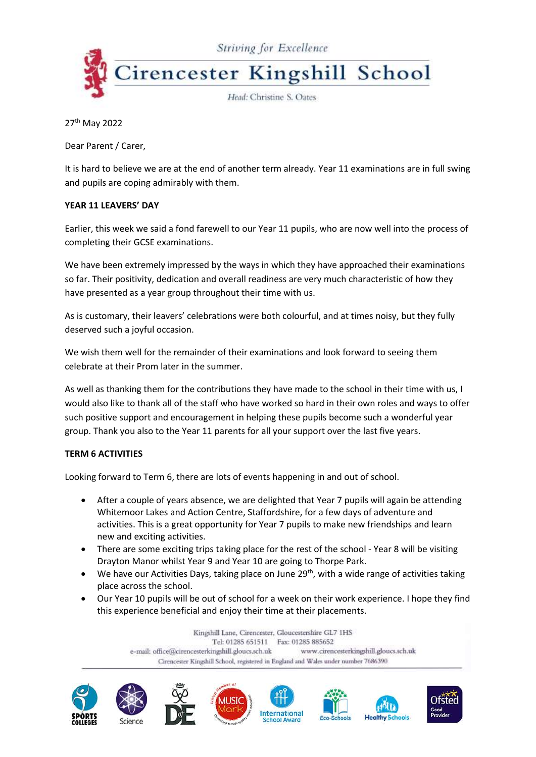

27<sup>th</sup> May 2022

Dear Parent / Carer,

It is hard to believe we are at the end of another term already. Year 11 examinations are in full swing and pupils are coping admirably with them.

## **YEAR 11 LEAVERS' DAY**

Earlier, this week we said a fond farewell to our Year 11 pupils, who are now well into the process of completing their GCSE examinations.

We have been extremely impressed by the ways in which they have approached their examinations so far. Their positivity, dedication and overall readiness are very much characteristic of how they have presented as a year group throughout their time with us.

As is customary, their leavers' celebrations were both colourful, and at times noisy, but they fully deserved such a joyful occasion.

We wish them well for the remainder of their examinations and look forward to seeing them celebrate at their Prom later in the summer.

As well as thanking them for the contributions they have made to the school in their time with us, I would also like to thank all of the staff who have worked so hard in their own roles and ways to offer such positive support and encouragement in helping these pupils become such a wonderful year group. Thank you also to the Year 11 parents for all your support over the last five years.

## **TERM 6 ACTIVITIES**

Looking forward to Term 6, there are lots of events happening in and out of school.

- After a couple of years absence, we are delighted that Year 7 pupils will again be attending Whitemoor Lakes and Action Centre, Staffordshire, for a few days of adventure and activities. This is a great opportunity for Year 7 pupils to make new friendships and learn new and exciting activities.
- There are some exciting trips taking place for the rest of the school Year 8 will be visiting Drayton Manor whilst Year 9 and Year 10 are going to Thorpe Park.
- We have our Activities Days, taking place on June  $29<sup>th</sup>$ , with a wide range of activities taking place across the school.
- Our Year 10 pupils will be out of school for a week on their work experience. I hope they find this experience beneficial and enjoy their time at their placements.

Kingshill Lane, Cirencester, Gloucestershire GL7 1HS Tel: 01285 651511 Fax: 01285 885652 www.cirencesterkingshill.gloucs.sch.uk e-mail: office@cirencesterkingshill.gloucs.sch.uk Cirencester Kingshill School, registered in England and Wales under number 7686390